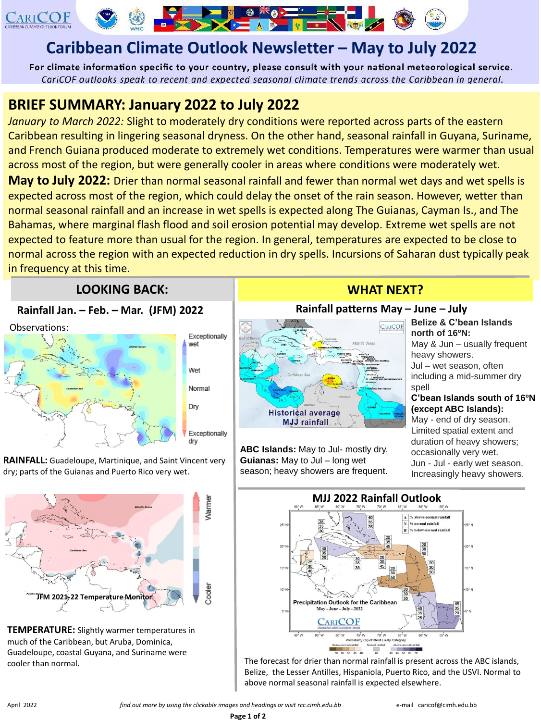

# **Caribbean Climate Outlook Newsletter – May to July 2022**

For climate information specific to your country, please consult with your national meteorological service. CariCOF outlooks speak to recent and expected seasonal climate trends across the Caribbean in general.

**NO AND THE NEW YORK** 

## **BRIEF SUMMARY: January 2022 to July 2022**

*January to March 2022:* Slight to moderately dry conditions were reported across parts of the eastern Caribbean resulting in lingering seasonal dryness. On the other hand, seasonal rainfall in Guyana, Suriname, and French Guiana produced moderate to extremely wet conditions. Temperatures were warmer than usual across most of the region, but were generally cooler in areas where conditions were moderately wet.

**May to July 2022:** Drier than normal seasonal rainfall and fewer than normal wet days and wet spells is expected across most of the region, which could delay the onset of the rain season. However, wetter than normal seasonal rainfall and an increase in wet spells is expected along The Guianas, Cayman Is., and The Bahamas, where marginal flash flood and soil erosion potential may develop. Extreme wet spells are not expected to feature more than usual for the region. In general, temperatures are expected to be close to normal across the region with an expected reduction in dry spells. Incursions of Saharan dust typically peak in frequency at this time.

### **LOOKING BACK:** WHAT NEXT?

#### **Rainfall Jan. – Feb. – Mar. (JFM) 2022**

Observations:



**RAINFALL:** Guadeloupe, Martinique, and Saint Vincent very dry; parts of the Guianas and Puerto Rico very wet.



**TEMPERATURE:** Slightly warmer temperatures in much of the Caribbean, but Aruba, Dominica, Guadeloupe, coastal Guyana, and Suriname were cooler than normal.

#### **Rainfall patterns May – June – July**



**ABC Islands:** May to Jul- mostly dry. **Guianas:** May to Jul – long wet season; heavy showers are frequent.

**Belize & C'bean Islands north of 16ºN:** May & Jun – usually frequent heavy showers. Jul – wet season, often including a mid-summer dry spell **C'bean Islands south of 16ºN (except ABC Islands):** May - end of dry season. Limited spatial extent and duration of heavy showers; occasionally very wet.

Jun - Jul - early wet season. Increasingly heavy showers.



The forecast for drier than normal rainfall is present across the ABC islands, Belize, the Lesser Antilles, Hispaniola, Puerto Rico, and the USVI. Normal to above normal seasonal rainfall is expected elsewhere.